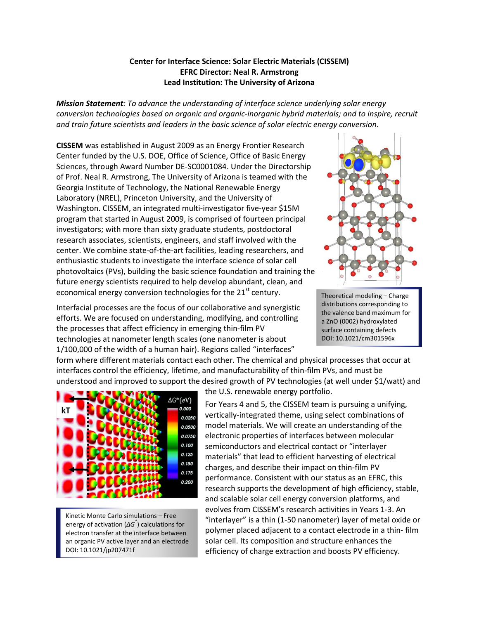## **Center for Interface Science: Solar Electric Materials (CISSEM) EFRC Director: Neal R. Armstrong Lead Institution: The University of Arizona**

*Mission Statement: To advance the understanding of interface science underlying solar energy conversion technologies based on organic and organic-inorganic hybrid materials; and to inspire, recruit and train future scientists and leaders in the basic science of solar electric energy conversion*.

**CISSEM** was established in August 2009 as an Energy Frontier Research Center funded by the U.S. DOE, Office of Science, Office of Basic Energy Sciences, through Award Number DE-SC0001084. Under the Directorship of Prof. Neal R. Armstrong, The University of Arizona is teamed with the Georgia Institute of Technology, the National Renewable Energy Laboratory (NREL), Princeton University, and the University of Washington. CISSEM, an integrated multi-investigator five-year \$15M program that started in August 2009, is comprised of fourteen principal investigators; with more than sixty graduate students, postdoctoral research associates, scientists, engineers, and staff involved with the center. We combine state-of-the-art facilities, leading researchers, and enthusiastic students to investigate the interface science of solar cell photovoltaics (PVs), building the basic science foundation and training the future energy scientists required to help develop abundant, clean, and economical energy conversion technologies for the  $21<sup>st</sup>$  century.

Interfacial processes are the focus of our collaborative and synergistic efforts. We are focused on understanding, modifying, and controlling the processes that affect efficiency in emerging thin-film PV technologies at nanometer length scales (one nanometer is about 1/100,000 of the width of a human hair). Regions called "interfaces"



Theoretical modeling – Charge distributions corresponding to the valence band maximum for a ZnO (0002) hydroxylated surface containing defects DOI: 10.1021/cm301596x

form where different materials contact each other. The chemical and physical processes that occur at interfaces control the efficiency, lifetime, and manufacturability of thin-film PVs, and must be understood and improved to support the desired growth of PV technologies (at well under \$1/watt) and



Kinetic Monte Carlo simulations – Free energy of activation (*ΔG\** ) calculations for electron transfer at the interface between an organic PV active layer and an electrode DOI: 10.1021/jp207471f

the U.S. renewable energy portfolio.

For Years 4 and 5, the CISSEM team is pursuing a unifying, vertically-integrated theme, using select combinations of model materials. We will create an understanding of the electronic properties of interfaces between molecular semiconductors and electrical contact or "interlayer materials" that lead to efficient harvesting of electrical charges, and describe their impact on thin-film PV performance. Consistent with our status as an EFRC, this research supports the development of high efficiency, stable, and scalable solar cell energy conversion platforms, and evolves from CISSEM's research activities in Years 1-3. An "interlayer" is a thin (1-50 nanometer) layer of metal oxide or polymer placed adjacent to a contact electrode in a thin- film solar cell. Its composition and structure enhances the efficiency of charge extraction and boosts PV efficiency.